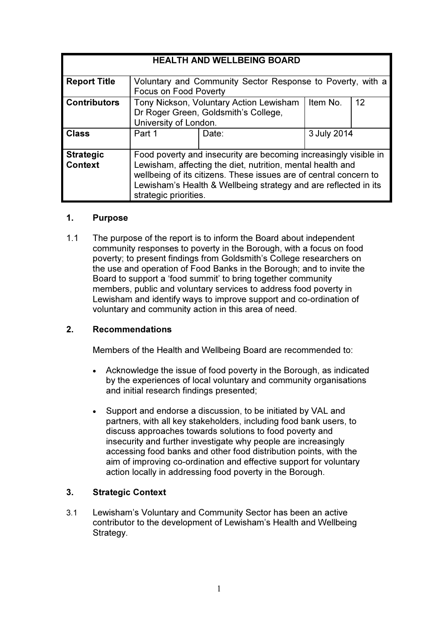| <b>HEALTH AND WELLBEING BOARD</b>  |                                                                                                                                                                                                                                                                                                 |       |             |  |
|------------------------------------|-------------------------------------------------------------------------------------------------------------------------------------------------------------------------------------------------------------------------------------------------------------------------------------------------|-------|-------------|--|
| <b>Report Title</b>                | Voluntary and Community Sector Response to Poverty, with a<br><b>Focus on Food Poverty</b>                                                                                                                                                                                                      |       |             |  |
| <b>Contributors</b>                | 12<br>Tony Nickson, Voluntary Action Lewisham<br>Item No.<br>Dr Roger Green, Goldsmith's College,<br>University of London.                                                                                                                                                                      |       |             |  |
| <b>Class</b>                       | Part 1                                                                                                                                                                                                                                                                                          | Date: | 3 July 2014 |  |
| <b>Strategic</b><br><b>Context</b> | Food poverty and insecurity are becoming increasingly visible in<br>Lewisham, affecting the diet, nutrition, mental health and<br>wellbeing of its citizens. These issues are of central concern to<br>Lewisham's Health & Wellbeing strategy and are reflected in its<br>strategic priorities. |       |             |  |

# 1. Purpose

1.1 The purpose of the report is to inform the Board about independent community responses to poverty in the Borough, with a focus on food poverty; to present findings from Goldsmith's College researchers on the use and operation of Food Banks in the Borough; and to invite the Board to support a 'food summit' to bring together community members, public and voluntary services to address food poverty in Lewisham and identify ways to improve support and co-ordination of voluntary and community action in this area of need.

# 2. Recommendations

Members of the Health and Wellbeing Board are recommended to:

- Acknowledge the issue of food poverty in the Borough, as indicated by the experiences of local voluntary and community organisations and initial research findings presented;
- Support and endorse a discussion, to be initiated by VAL and partners, with all key stakeholders, including food bank users, to discuss approaches towards solutions to food poverty and insecurity and further investigate why people are increasingly accessing food banks and other food distribution points, with the aim of improving co-ordination and effective support for voluntary action locally in addressing food poverty in the Borough.

### 3. Strategic Context

3.1 Lewisham's Voluntary and Community Sector has been an active contributor to the development of Lewisham's Health and Wellbeing Strategy.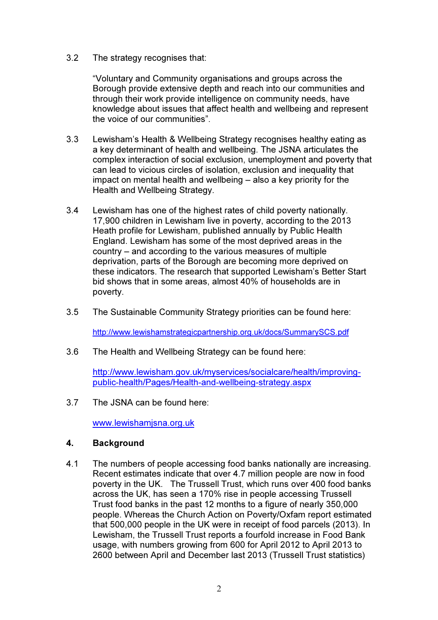### 3.2 The strategy recognises that:

"Voluntary and Community organisations and groups across the Borough provide extensive depth and reach into our communities and through their work provide intelligence on community needs, have knowledge about issues that affect health and wellbeing and represent the voice of our communities".

- 3.3 Lewisham's Health & Wellbeing Strategy recognises healthy eating as a key determinant of health and wellbeing. The JSNA articulates the complex interaction of social exclusion, unemployment and poverty that can lead to vicious circles of isolation, exclusion and inequality that impact on mental health and wellbeing – also a key priority for the Health and Wellbeing Strategy.
- 3.4 Lewisham has one of the highest rates of child poverty nationally. 17,900 children in Lewisham live in poverty, according to the 2013 Heath profile for Lewisham, published annually by Public Health England. Lewisham has some of the most deprived areas in the country – and according to the various measures of multiple deprivation, parts of the Borough are becoming more deprived on these indicators. The research that supported Lewisham's Better Start bid shows that in some areas, almost 40% of households are in poverty.
- 3.5 The Sustainable Community Strategy priorities can be found here:

http://www.lewishamstrategicpartnership.org.uk/docs/SummarySCS.pdf

3.6 The Health and Wellbeing Strategy can be found here:

http://www.lewisham.gov.uk/myservices/socialcare/health/improvingpublic-health/Pages/Health-and-wellbeing-strategy.aspx

3.7 The JSNA can be found here:

www.lewishamjsna.org.uk

### 4. Background

4.1 The numbers of people accessing food banks nationally are increasing. Recent estimates indicate that over 4.7 million people are now in food poverty in the UK. The Trussell Trust, which runs over 400 food banks across the UK, has seen a 170% rise in people accessing Trussell Trust food banks in the past 12 months to a figure of nearly 350,000 people. Whereas the Church Action on Poverty/Oxfam report estimated that 500,000 people in the UK were in receipt of food parcels (2013). In Lewisham, the Trussell Trust reports a fourfold increase in Food Bank usage, with numbers growing from 600 for April 2012 to April 2013 to 2600 between April and December last 2013 (Trussell Trust statistics)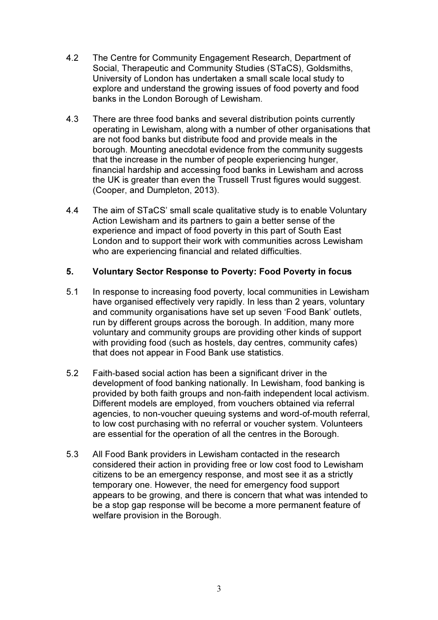- 4.2 The Centre for Community Engagement Research, Department of Social, Therapeutic and Community Studies (STaCS), Goldsmiths, University of London has undertaken a small scale local study to explore and understand the growing issues of food poverty and food banks in the London Borough of Lewisham.
- 4.3 There are three food banks and several distribution points currently operating in Lewisham, along with a number of other organisations that are not food banks but distribute food and provide meals in the borough. Mounting anecdotal evidence from the community suggests that the increase in the number of people experiencing hunger, financial hardship and accessing food banks in Lewisham and across the UK is greater than even the Trussell Trust figures would suggest. (Cooper, and Dumpleton, 2013).
- 4.4 The aim of STaCS' small scale qualitative study is to enable Voluntary Action Lewisham and its partners to gain a better sense of the experience and impact of food poverty in this part of South East London and to support their work with communities across Lewisham who are experiencing financial and related difficulties.

# 5. Voluntary Sector Response to Poverty: Food Poverty in focus

- 5.1 In response to increasing food poverty, local communities in Lewisham have organised effectively very rapidly. In less than 2 years, voluntary and community organisations have set up seven 'Food Bank' outlets, run by different groups across the borough. In addition, many more voluntary and community groups are providing other kinds of support with providing food (such as hostels, day centres, community cafes) that does not appear in Food Bank use statistics.
- 5.2 Faith-based social action has been a significant driver in the development of food banking nationally. In Lewisham, food banking is provided by both faith groups and non-faith independent local activism. Different models are employed, from vouchers obtained via referral agencies, to non-voucher queuing systems and word-of-mouth referral, to low cost purchasing with no referral or voucher system. Volunteers are essential for the operation of all the centres in the Borough.
- 5.3 All Food Bank providers in Lewisham contacted in the research considered their action in providing free or low cost food to Lewisham citizens to be an emergency response, and most see it as a strictly temporary one. However, the need for emergency food support appears to be growing, and there is concern that what was intended to be a stop gap response will be become a more permanent feature of welfare provision in the Borough.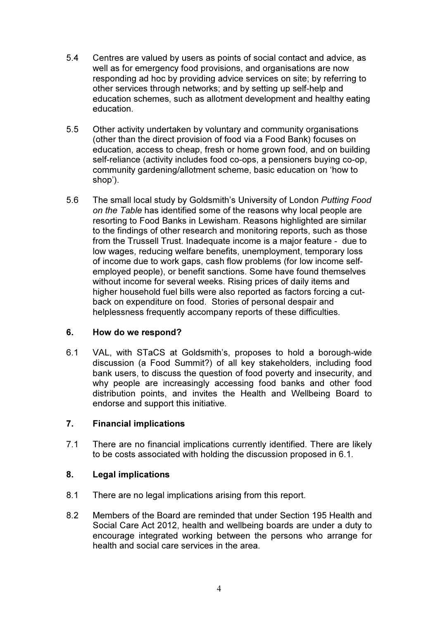- 5.4 Centres are valued by users as points of social contact and advice, as well as for emergency food provisions, and organisations are now responding ad hoc by providing advice services on site; by referring to other services through networks; and by setting up self-help and education schemes, such as allotment development and healthy eating education.
- 5.5 Other activity undertaken by voluntary and community organisations (other than the direct provision of food via a Food Bank) focuses on education, access to cheap, fresh or home grown food, and on building self-reliance (activity includes food co-ops, a pensioners buying co-op, community gardening/allotment scheme, basic education on 'how to shop').
- 5.6 The small local study by Goldsmith's University of London Putting Food on the Table has identified some of the reasons why local people are resorting to Food Banks in Lewisham. Reasons highlighted are similar to the findings of other research and monitoring reports, such as those from the Trussell Trust. Inadequate income is a major feature - due to low wages, reducing welfare benefits, unemployment, temporary loss of income due to work gaps, cash flow problems (for low income selfemployed people), or benefit sanctions. Some have found themselves without income for several weeks. Rising prices of daily items and higher household fuel bills were also reported as factors forcing a cutback on expenditure on food. Stories of personal despair and helplessness frequently accompany reports of these difficulties.

# 6. How do we respond?

6.1 VAL, with STaCS at Goldsmith's, proposes to hold a borough-wide discussion (a Food Summit?) of all key stakeholders, including food bank users, to discuss the question of food poverty and insecurity, and why people are increasingly accessing food banks and other food distribution points, and invites the Health and Wellbeing Board to endorse and support this initiative.

# 7. Financial implications

7.1 There are no financial implications currently identified. There are likely to be costs associated with holding the discussion proposed in 6.1.

# 8. Legal implications

- 8.1 There are no legal implications arising from this report.
- 8.2 Members of the Board are reminded that under Section 195 Health and Social Care Act 2012, health and wellbeing boards are under a duty to encourage integrated working between the persons who arrange for health and social care services in the area.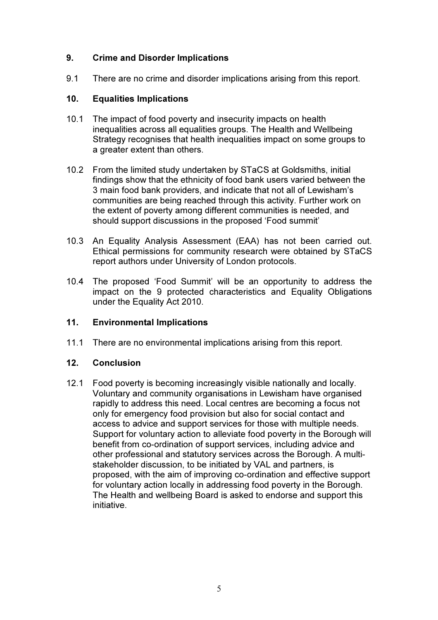# 9. Crime and Disorder Implications

9.1 There are no crime and disorder implications arising from this report.

## 10. Equalities Implications

- 10.1 The impact of food poverty and insecurity impacts on health inequalities across all equalities groups. The Health and Wellbeing Strategy recognises that health inequalities impact on some groups to a greater extent than others.
- 10.2 From the limited study undertaken by STaCS at Goldsmiths, initial findings show that the ethnicity of food bank users varied between the 3 main food bank providers, and indicate that not all of Lewisham's communities are being reached through this activity. Further work on the extent of poverty among different communities is needed, and should support discussions in the proposed 'Food summit'
- 10.3 An Equality Analysis Assessment (EAA) has not been carried out. Ethical permissions for community research were obtained by STaCS report authors under University of London protocols.
- 10.4 The proposed 'Food Summit' will be an opportunity to address the impact on the 9 protected characteristics and Equality Obligations under the Equality Act 2010.

## 11. Environmental Implications

11.1 There are no environmental implications arising from this report.

### 12. Conclusion

12.1 Food poverty is becoming increasingly visible nationally and locally. Voluntary and community organisations in Lewisham have organised rapidly to address this need. Local centres are becoming a focus not only for emergency food provision but also for social contact and access to advice and support services for those with multiple needs. Support for voluntary action to alleviate food poverty in the Borough will benefit from co-ordination of support services, including advice and other professional and statutory services across the Borough. A multistakeholder discussion, to be initiated by VAL and partners, is proposed, with the aim of improving co-ordination and effective support for voluntary action locally in addressing food poverty in the Borough. The Health and wellbeing Board is asked to endorse and support this initiative.